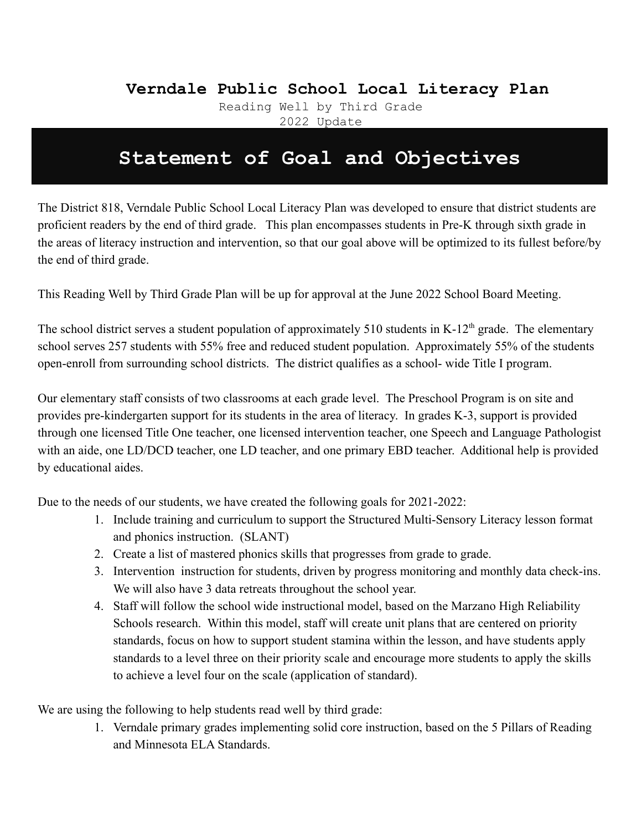#### **VerVerndale Public School Local Literacy Plan**

Reading Well by Third Grade 2022 Update

#### **Statement of Goal and Objectives**

The District 818, Verndale Public School Local Literacy Plan was developed to ensure that district students are proficient readers by the end of third grade. This plan encompasses students in Pre-K through sixth grade in the areas of literacy instruction and intervention, so that our goal above will be optimized to its fullest before/by the end of third grade.

This Reading Well by Third Grade Plan will be up for approval at the June 2022 School Board Meeting.

The school district serves a student population of approximately 510 students in K-12<sup>th</sup> grade. The elementary school serves 257 students with 55% free and reduced student population. Approximately 55% of the students open-enroll from surrounding school districts. The district qualifies as a school- wide Title I program.

Our elementary staff consists of two classrooms at each grade level. The Preschool Program is on site and provides pre-kindergarten support for its students in the area of literacy. In grades K-3, support is provided through one licensed Title One teacher, one licensed intervention teacher, one Speech and Language Pathologist with an aide, one LD/DCD teacher, one LD teacher, and one primary EBD teacher. Additional help is provided by educational aides.

Due to the needs of our students, we have created the following goals for 2021-2022:

- 1. Include training and curriculum to support the Structured Multi-Sensory Literacy lesson format and phonics instruction. (SLANT)
- 2. Create a list of mastered phonics skills that progresses from grade to grade.
- 3. Intervention instruction for students, driven by progress monitoring and monthly data check-ins. We will also have 3 data retreats throughout the school year.
- 4. Staff will follow the school wide instructional model, based on the Marzano High Reliability Schools research. Within this model, staff will create unit plans that are centered on priority standards, focus on how to support student stamina within the lesson, and have students apply standards to a level three on their priority scale and encourage more students to apply the skills to achieve a level four on the scale (application of standard).

We are using the following to help students read well by third grade:

1. Verndale primary grades implementing solid core instruction, based on the 5 Pillars of Reading and Minnesota ELA Standards.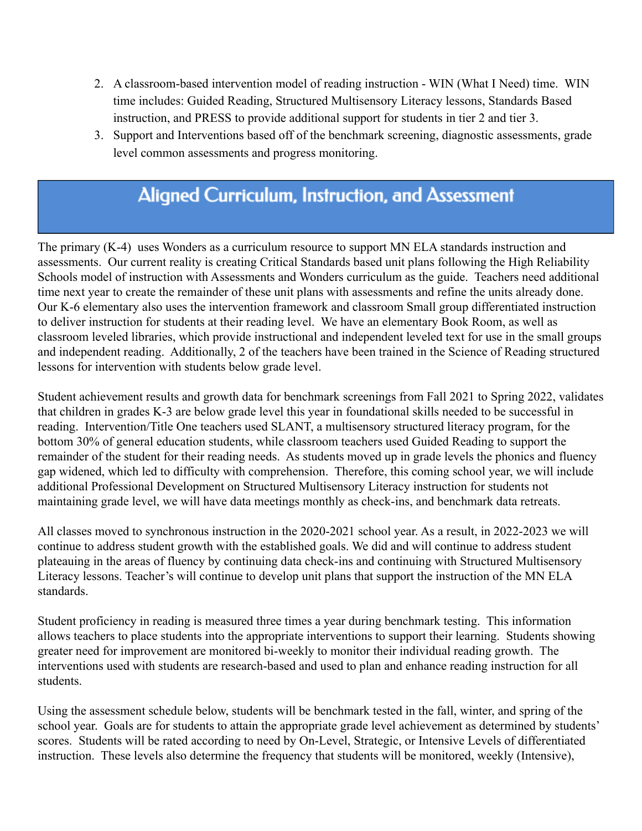- 2. A classroom-based intervention model of reading instruction WIN (What I Need) time. WIN time includes: Guided Reading, Structured Multisensory Literacy lessons, Standards Based instruction, and PRESS to provide additional support for students in tier 2 and tier 3.
- 3. Support and Interventions based off of the benchmark screening, diagnostic assessments, grade level common assessments and progress monitoring.

#### **Aligned Curriculum, Instruction, and Assessment**

The primary (K-4) uses Wonders as a curriculum resource to support MN ELA standards instruction and assessments. Our current reality is creating Critical Standards based unit plans following the High Reliability Schools model of instruction with Assessments and Wonders curriculum as the guide. Teachers need additional time next year to create the remainder of these unit plans with assessments and refine the units already done. Our K-6 elementary also uses the intervention framework and classroom Small group differentiated instruction to deliver instruction for students at their reading level. We have an elementary Book Room, as well as classroom leveled libraries, which provide instructional and independent leveled text for use in the small groups and independent reading. Additionally, 2 of the teachers have been trained in the Science of Reading structured lessons for intervention with students below grade level.

Student achievement results and growth data for benchmark screenings from Fall 2021 to Spring 2022, validates that children in grades K-3 are below grade level this year in foundational skills needed to be successful in reading. Intervention/Title One teachers used SLANT, a multisensory structured literacy program, for the bottom 30% of general education students, while classroom teachers used Guided Reading to support the remainder of the student for their reading needs. As students moved up in grade levels the phonics and fluency gap widened, which led to difficulty with comprehension. Therefore, this coming school year, we will include additional Professional Development on Structured Multisensory Literacy instruction for students not maintaining grade level, we will have data meetings monthly as check-ins, and benchmark data retreats.

All classes moved to synchronous instruction in the 2020-2021 school year. As a result, in 2022-2023 we will continue to address student growth with the established goals. We did and will continue to address student plateauing in the areas of fluency by continuing data check-ins and continuing with Structured Multisensory Literacy lessons. Teacher's will continue to develop unit plans that support the instruction of the MN ELA standards.

Student proficiency in reading is measured three times a year during benchmark testing. This information allows teachers to place students into the appropriate interventions to support their learning. Students showing greater need for improvement are monitored bi-weekly to monitor their individual reading growth. The interventions used with students are research-based and used to plan and enhance reading instruction for all students.

Using the assessment schedule below, students will be benchmark tested in the fall, winter, and spring of the school year. Goals are for students to attain the appropriate grade level achievement as determined by students' scores. Students will be rated according to need by On-Level, Strategic, or Intensive Levels of differentiated instruction. These levels also determine the frequency that students will be monitored, weekly (Intensive),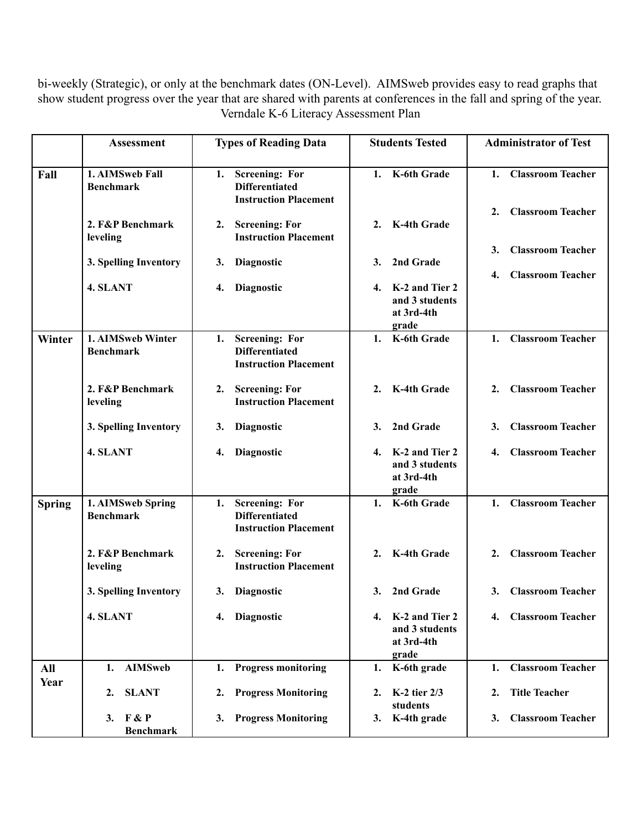bi-weekly (Strategic), or only at the benchmark dates (ON-Level). AIMSweb provides easy to read graphs that show student progress over the year that are shared with parents at conferences in the fall and spring of the year. Verndale K-6 Literacy Assessment Plan

|               | <b>Assessment</b>                     | <b>Types of Reading Data</b>                                                         | <b>Students Tested</b>                                        | <b>Administrator of Test</b>                                     |
|---------------|---------------------------------------|--------------------------------------------------------------------------------------|---------------------------------------------------------------|------------------------------------------------------------------|
| Fall          | 1. AIMSweb Fall<br><b>Benchmark</b>   | <b>Screening: For</b><br>1.<br><b>Differentiated</b><br><b>Instruction Placement</b> | K-6th Grade<br>1.                                             | <b>Classroom Teacher</b><br>1.<br><b>Classroom Teacher</b><br>2. |
|               | 2. F&P Benchmark<br>leveling          | <b>Screening: For</b><br>2.<br><b>Instruction Placement</b>                          | K-4th Grade<br>2.                                             |                                                                  |
|               | 3. Spelling Inventory                 | 3.<br><b>Diagnostic</b>                                                              | 2nd Grade<br>3.                                               | <b>Classroom Teacher</b><br>3.<br><b>Classroom Teacher</b><br>4. |
|               | 4. SLANT                              | Diagnostic<br>4.                                                                     | K-2 and Tier 2<br>4.<br>and 3 students<br>at 3rd-4th<br>grade |                                                                  |
| Winter        | 1. AIMSweb Winter<br><b>Benchmark</b> | <b>Screening: For</b><br>1.<br><b>Differentiated</b><br><b>Instruction Placement</b> | K-6th Grade<br>1.                                             | <b>Classroom Teacher</b><br>1.                                   |
|               | 2. F&P Benchmark<br>leveling          | <b>Screening: For</b><br>2.<br><b>Instruction Placement</b>                          | K-4th Grade<br>2.                                             | <b>Classroom Teacher</b><br>$\overline{2}$ .                     |
|               | 3. Spelling Inventory                 | 3.<br><b>Diagnostic</b>                                                              | 2nd Grade<br>3.                                               | <b>Classroom Teacher</b><br>3.                                   |
|               | 4. SLANT                              | <b>Diagnostic</b><br>4.                                                              | K-2 and Tier 2<br>4.<br>and 3 students<br>at 3rd-4th<br>grade | <b>Classroom Teacher</b><br>4.                                   |
| <b>Spring</b> | 1. AIMSweb Spring<br><b>Benchmark</b> | <b>Screening: For</b><br>1.<br><b>Differentiated</b><br><b>Instruction Placement</b> | K-6th Grade<br>1.                                             | 1. Classroom Teacher                                             |
|               | 2. F&P Benchmark<br>leveling          | <b>Screening: For</b><br>2.<br><b>Instruction Placement</b>                          | K-4th Grade<br>2.                                             | <b>Classroom Teacher</b><br>2.                                   |
|               | 3. Spelling Inventory                 | 3. Diagnostic                                                                        | 2nd Grade<br>3.                                               | 3. Classroom Teacher                                             |
|               | 4. SLANT                              | 4. Diagnostic                                                                        | K-2 and Tier 2<br>4.<br>and 3 students<br>at 3rd-4th<br>grade | 4. Classroom Teacher                                             |
| All           | <b>AIMSweb</b><br>1.                  | <b>Progress monitoring</b><br>1.                                                     | K-6th grade<br>1.                                             | <b>Classroom Teacher</b><br>1.                                   |
| Year          | <b>SLANT</b><br>2.                    | <b>Progress Monitoring</b><br>2.                                                     | K-2 tier 2/3<br>2.<br>students                                | <b>Title Teacher</b><br>2.                                       |
|               | 3. $F & P$<br><b>Benchmark</b>        | <b>Progress Monitoring</b><br>3.                                                     | K-4th grade<br>3.                                             | <b>Classroom Teacher</b><br>3.                                   |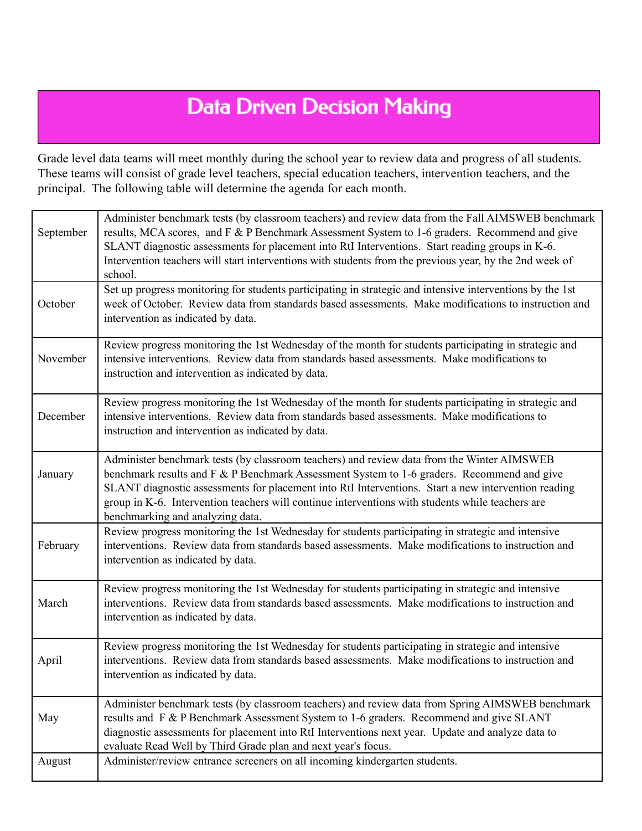## **Data Driven Decision Making**

Grade level data teams will meet monthly during the school year to review data and progress of all students. These teams will consist of grade level teachers, special education teachers, intervention teachers, and the principal. The following table will determine the agenda for each month.

| September | Administer benchmark tests (by classroom teachers) and review data from the Fall AIMSWEB benchmark<br>results, MCA scores, and F & P Benchmark Assessment System to 1-6 graders. Recommend and give<br>SLANT diagnostic assessments for placement into RtI Interventions. Start reading groups in K-6.<br>Intervention teachers will start interventions with students from the previous year, by the 2nd week of<br>school.            |
|-----------|-----------------------------------------------------------------------------------------------------------------------------------------------------------------------------------------------------------------------------------------------------------------------------------------------------------------------------------------------------------------------------------------------------------------------------------------|
| October   | Set up progress monitoring for students participating in strategic and intensive interventions by the 1st<br>week of October. Review data from standards based assessments. Make modifications to instruction and<br>intervention as indicated by data.                                                                                                                                                                                 |
| November  | Review progress monitoring the 1st Wednesday of the month for students participating in strategic and<br>intensive interventions. Review data from standards based assessments. Make modifications to<br>instruction and intervention as indicated by data.                                                                                                                                                                             |
| December  | Review progress monitoring the 1st Wednesday of the month for students participating in strategic and<br>intensive interventions. Review data from standards based assessments. Make modifications to<br>instruction and intervention as indicated by data.                                                                                                                                                                             |
| January   | Administer benchmark tests (by classroom teachers) and review data from the Winter AIMSWEB<br>benchmark results and F & P Benchmark Assessment System to 1-6 graders. Recommend and give<br>SLANT diagnostic assessments for placement into RtI Interventions. Start a new intervention reading<br>group in K-6. Intervention teachers will continue interventions with students while teachers are<br>benchmarking and analyzing data. |
| February  | Review progress monitoring the 1st Wednesday for students participating in strategic and intensive<br>interventions. Review data from standards based assessments. Make modifications to instruction and<br>intervention as indicated by data.                                                                                                                                                                                          |
| March     | Review progress monitoring the 1st Wednesday for students participating in strategic and intensive<br>interventions. Review data from standards based assessments. Make modifications to instruction and<br>intervention as indicated by data.                                                                                                                                                                                          |
| April     | Review progress monitoring the 1st Wednesday for students participating in strategic and intensive<br>interventions. Review data from standards based assessments. Make modifications to instruction and<br>intervention as indicated by data.                                                                                                                                                                                          |
| May       | Administer benchmark tests (by classroom teachers) and review data from Spring AIMSWEB benchmark<br>results and F & P Benchmark Assessment System to 1-6 graders. Recommend and give SLANT<br>diagnostic assessments for placement into RtI Interventions next year. Update and analyze data to<br>evaluate Read Well by Third Grade plan and next year's focus.                                                                        |
| August    | Administer/review entrance screeners on all incoming kindergarten students.                                                                                                                                                                                                                                                                                                                                                             |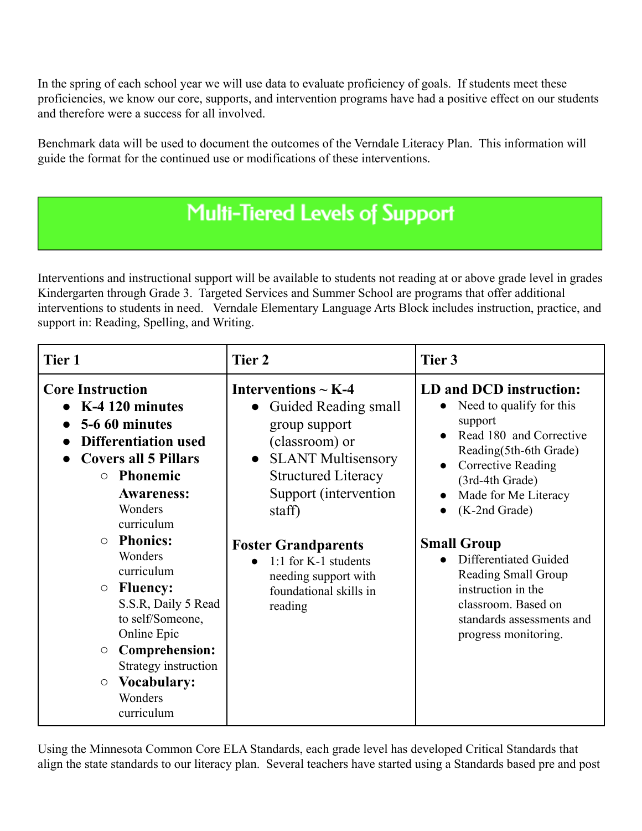In the spring of each school year we will use data to evaluate proficiency of goals. If students meet these proficiencies, we know our core, supports, and intervention programs have had a positive effect on our students and therefore were a success for all involved.

Benchmark data will be used to document the outcomes of the Verndale Literacy Plan. This information will guide the format for the continued use or modifications of these interventions.

# **Multi-Tiered Levels of Support**

Interventions and instructional support will be available to students not reading at or above grade level in grades Kindergarten through Grade 3. Targeted Services and Summer School are programs that offer additional interventions to students in need. Verndale Elementary Language Arts Block includes instruction, practice, and support in: Reading, Spelling, and Writing.

| Tier 1                             |                                                                                                                                                                     | Tier 2                                                                                                                                                                                         | Tier 3                                                                                                                                                                                                       |
|------------------------------------|---------------------------------------------------------------------------------------------------------------------------------------------------------------------|------------------------------------------------------------------------------------------------------------------------------------------------------------------------------------------------|--------------------------------------------------------------------------------------------------------------------------------------------------------------------------------------------------------------|
| <b>Core Instruction</b><br>$\circ$ | $\bullet$ K-4 120 minutes<br>5-6 60 minutes<br><b>Differentiation used</b><br><b>Covers all 5 Pillars</b><br>Phonemic<br><b>Awareness:</b><br>Wonders<br>curriculum | Interventions $\sim$ K-4<br>Guided Reading small<br>group support<br>(classroom) or<br><b>SLANT Multisensory</b><br>$\bullet$<br><b>Structured Literacy</b><br>Support (intervention<br>staff) | LD and DCD instruction:<br>Need to qualify for this<br>support<br>Read 180 and Corrective<br>Reading(5th-6th Grade)<br><b>Corrective Reading</b><br>(3rd-4th Grade)<br>Made for Me Literacy<br>(K-2nd Grade) |
| $\circ$                            | <b>Phonics:</b><br>Wonders<br>curriculum                                                                                                                            | <b>Foster Grandparents</b><br>1:1 for K-1 students<br>$\bullet$<br>needing support with                                                                                                        | <b>Small Group</b><br>Differentiated Guided<br><b>Reading Small Group</b>                                                                                                                                    |
| $\bigcirc$                         | <b>Fluency:</b><br>S.S.R, Daily 5 Read<br>to self/Someone,<br>Online Epic                                                                                           | foundational skills in<br>reading                                                                                                                                                              | instruction in the<br>classroom. Based on<br>standards assessments and<br>progress monitoring.                                                                                                               |
| $\circ$                            | <b>Comprehension:</b><br>Strategy instruction                                                                                                                       |                                                                                                                                                                                                |                                                                                                                                                                                                              |
| $\circ$                            | <b>Vocabulary:</b><br>Wonders<br>curriculum                                                                                                                         |                                                                                                                                                                                                |                                                                                                                                                                                                              |

Using the Minnesota Common Core ELA Standards, each grade level has developed Critical Standards that align the state standards to our literacy plan. Several teachers have started using a Standards based pre and post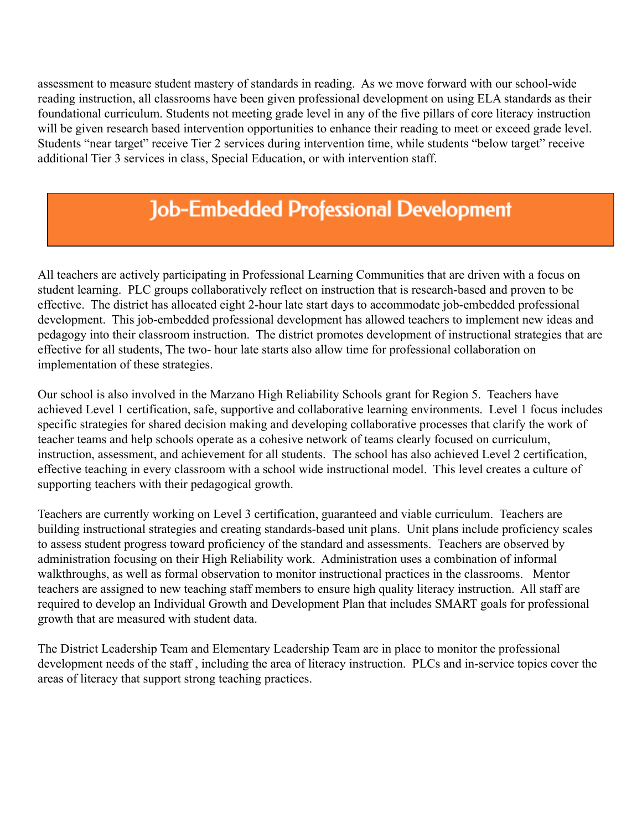assessment to measure student mastery of standards in reading. As we move forward with our school-wide reading instruction, all classrooms have been given professional development on using ELA standards as their foundational curriculum. Students not meeting grade level in any of the five pillars of core literacy instruction will be given research based intervention opportunities to enhance their reading to meet or exceed grade level. Students "near target" receive Tier 2 services during intervention time, while students "below target" receive additional Tier 3 services in class, Special Education, or with intervention staff.

#### **Job-Embedded Professional Development**

All teachers are actively participating in Professional Learning Communities that are driven with a focus on student learning. PLC groups collaboratively reflect on instruction that is research-based and proven to be effective. The district has allocated eight 2-hour late start days to accommodate job-embedded professional development. This job-embedded professional development has allowed teachers to implement new ideas and pedagogy into their classroom instruction. The district promotes development of instructional strategies that are effective for all students, The two- hour late starts also allow time for professional collaboration on implementation of these strategies.

Our school is also involved in the Marzano High Reliability Schools grant for Region 5. Teachers have achieved Level 1 certification, safe, supportive and collaborative learning environments. Level 1 focus includes specific strategies for shared decision making and developing collaborative processes that clarify the work of teacher teams and help schools operate as a cohesive network of teams clearly focused on curriculum, instruction, assessment, and achievement for all students. The school has also achieved Level 2 certification, effective teaching in every classroom with a school wide instructional model. This level creates a culture of supporting teachers with their pedagogical growth.

Teachers are currently working on Level 3 certification, guaranteed and viable curriculum. Teachers are building instructional strategies and creating standards-based unit plans. Unit plans include proficiency scales to assess student progress toward proficiency of the standard and assessments. Teachers are observed by administration focusing on their High Reliability work. Administration uses a combination of informal walkthroughs, as well as formal observation to monitor instructional practices in the classrooms. Mentor teachers are assigned to new teaching staff members to ensure high quality literacy instruction. All staff are required to develop an Individual Growth and Development Plan that includes SMART goals for professional growth that are measured with student data.

The District Leadership Team and Elementary Leadership Team are in place to monitor the professional development needs of the staff , including the area of literacy instruction. PLCs and in-service topics cover the areas of literacy that support strong teaching practices.